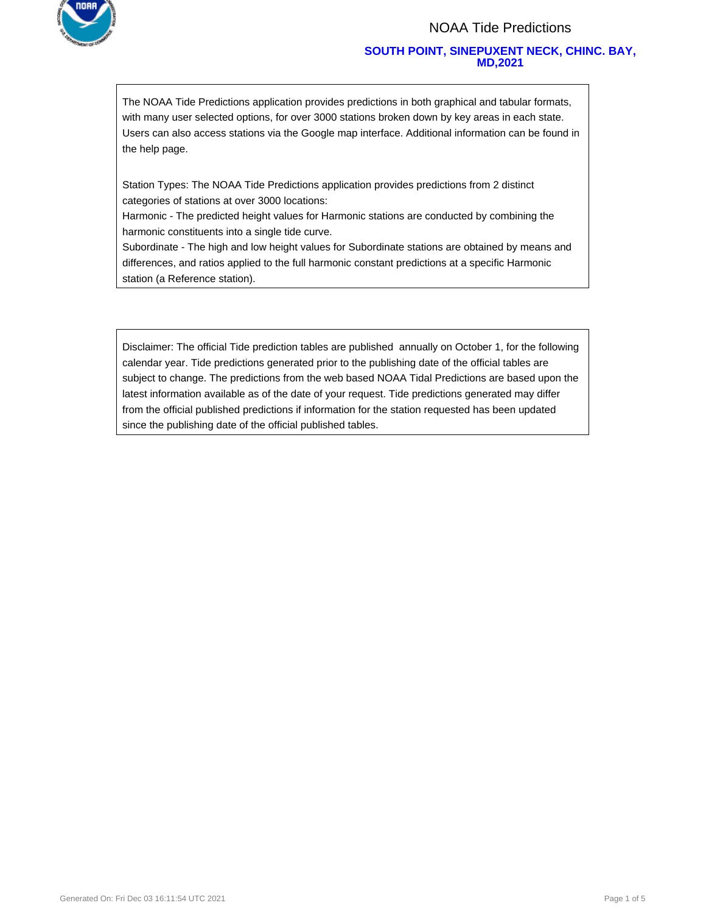

#### NOAA Tide Predictions

#### **SOUTH POINT, SINEPUXENT NECK, CHINC. BAY, MD,2021**

The NOAA Tide Predictions application provides predictions in both graphical and tabular formats, with many user selected options, for over 3000 stations broken down by key areas in each state. Users can also access stations via the Google map interface. Additional information can be found in the help page.

Station Types: The NOAA Tide Predictions application provides predictions from 2 distinct categories of stations at over 3000 locations:

Harmonic - The predicted height values for Harmonic stations are conducted by combining the harmonic constituents into a single tide curve.

Subordinate - The high and low height values for Subordinate stations are obtained by means and differences, and ratios applied to the full harmonic constant predictions at a specific Harmonic station (a Reference station).

Disclaimer: The official Tide prediction tables are published annually on October 1, for the following calendar year. Tide predictions generated prior to the publishing date of the official tables are subject to change. The predictions from the web based NOAA Tidal Predictions are based upon the latest information available as of the date of your request. Tide predictions generated may differ from the official published predictions if information for the station requested has been updated since the publishing date of the official published tables.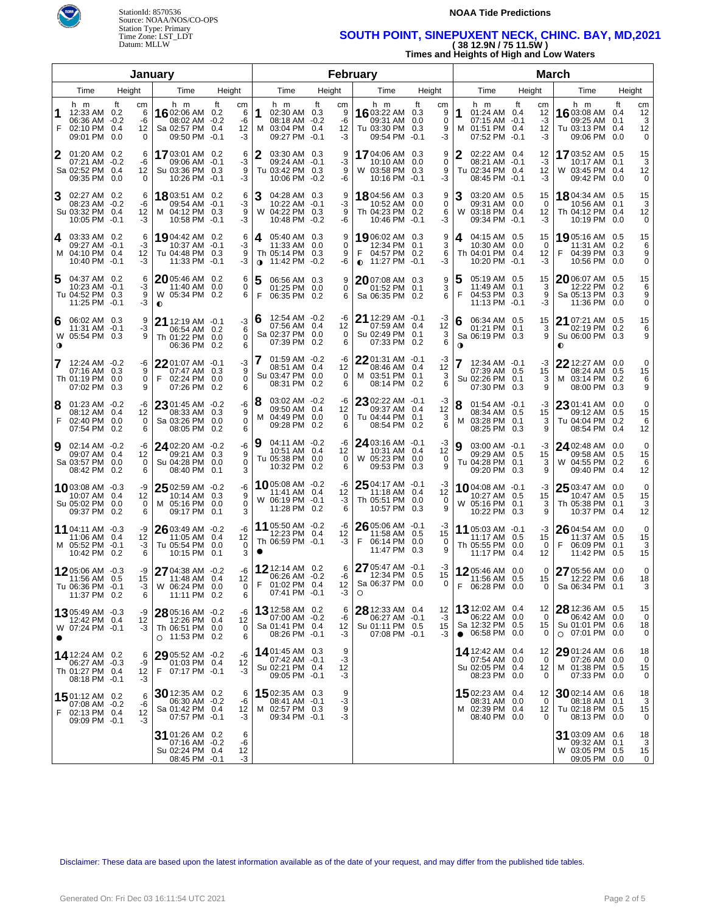

**NOAA Tide Predictions** 

### Time Zone: LST\_LDT **SOUTH POINT, SINEPUXENT NECK, CHINC. BAY, MD,2021**  Datum: MLLW **( 38 12.9N / 75 11.5W )**

**Times and Heights of High and Low Waters** 

|                  |                                                                          |        |                                  | January                                                                        |          |                           |                                                                                           |    |                           | February                                                                  |                                                        |                |                                                                              |                                  | March                                                                      |                                              |        |
|------------------|--------------------------------------------------------------------------|--------|----------------------------------|--------------------------------------------------------------------------------|----------|---------------------------|-------------------------------------------------------------------------------------------|----|---------------------------|---------------------------------------------------------------------------|--------------------------------------------------------|----------------|------------------------------------------------------------------------------|----------------------------------|----------------------------------------------------------------------------|----------------------------------------------|--------|
|                  | Time                                                                     | Height |                                  | Time                                                                           | Height   |                           | Time                                                                                      |    | Height                    | Time                                                                      | Height                                                 |                | Time                                                                         | Height                           | Time                                                                       | Height                                       |        |
| 1<br>F           | h m<br>12:33 AM 0.2<br>06:36 AM -0.2<br>02:10 PM 0.4<br>09:01 PM 0.0     | ft     | cm<br>6<br>-6<br>12<br>0         | h m<br>16 02:06 AM 0.2<br>08:02 AM -0.2<br>Sa 02:57 PM 0.4<br>09:50 PM -0.1    | ft<br>cm | 6<br>$-6$<br>12<br>$-3$   | h m<br>11<br>02:30 AM 0.3<br>08:18 AM -0.2<br>M 03:04 PM 0.4<br>09:27 PM -0.1             | ft | cm<br>9<br>-6<br>12<br>-3 | h m<br><b>16</b> 03:22 AM 0.3<br>09:31 AM<br>Tu 03:30 PM<br>09:54 PM      | ft<br>cm<br>-9<br>0<br>0.0<br>0.3<br>9<br>$-0.1$<br>-3 | 1<br>м         | h m<br>01:24 AM 0.4<br>$07:15$ AM $-0.1$<br>01:51 PM 0.4<br>07:52 PM -0.1    | ft<br>сm<br>12<br>-3<br>12<br>-3 | h m<br>16 03:08 AM 0.4<br>09:25 AM<br>Tu 03:13 PM 0.4<br>09:06 PM          | ft<br>cm<br>12<br>3<br>0.1<br>12<br>0.0<br>0 |        |
| 2                | $01:20$ AM $0.2$<br>$07:21$ AM $-0.2$<br>Sa 02:52 PM 0.4<br>09:35 PM 0.0 |        | 6<br>-6<br>12<br>0               | 1703:01 AM 0.2<br>09:06 AM -0.1<br>Su 03:36 PM 0.3<br>10:26 PM -0.1            |          | 6<br>-3<br>9<br>-3        | $\boldsymbol{2}$<br>03:30 AM 0.3<br>$09:24$ AM $-0.1$<br>Tu 03:42 PM 0.3<br>10:06 PM -0.2 |    | 9<br>-3<br>9<br>-6        | 17 04:06 AM 0.3<br>W 03:58 PM 0.3<br>10:16 PM -0.1                        | 9<br>0<br>9<br>-3                                      |                | 02:22 AM 0.4<br>08:21 AM -0.1<br>Tu 02:34 PM 0.4<br>08:45 PM -0.1            | 12<br>-3<br>12<br>-3             | 1703:52 AM 0.5<br>10:17 AM 0.1<br>W 03:45 PM 0.4<br>09:42 PM               | 15<br>3<br>12<br>0.0<br>0                    |        |
| 3                | 02:27 AM 0.2<br>08:23 AM -0.2<br>Su 03:32 PM 0.4<br>10:05 PM -0.1        |        | 6<br>-6<br>12<br>-3              | <b>18</b> 03:51 AM 0.2<br>09:54 AM -0.1<br>M 04:12 PM 0.3<br>10:58 PM -0.1     |          | 6<br>-3<br>9<br>-3        | 3<br>04:28 AM 0.3<br>$10:22$ AM $-0.1$<br>W 04:22 PM 0.3<br>10:48 PM -0.2                 |    | 9<br>-3<br>9<br>-6        | 1804:56 AM 0.3<br>10:52 AM 0.0<br>Th 04:23 PM 0.2<br>10:46 PM -0.1        | 9<br>0<br>6<br>-3                                      | 3<br>W         | 03:20 AM 0.5<br>09:31 AM 0.0<br>03:18 PM 0.4<br>09:34 PM -0.1                | 15<br>0<br>12<br>-3              | 1804:34 AM 0.5<br>10:56 AM 0.1<br>Th 04:12 PM 0.4<br>10:19 PM 0.0          | 15<br>3<br>12<br>0                           |        |
| 4                | 03:33 AM 0.2<br>$09:27$ AM $-0.1$<br>M 04:10 PM 0.4<br>10:40 PM -0.1     |        | 6<br>-3<br>12<br>-3              | 1904:42 AM 0.2<br>10:37 AM -0.1<br>Tu 04:48 PM 0.3<br>11:33 PM                 | $-0.1$   | 6<br>-3<br>9<br>-3        | 4 05:40 AM 0.3<br>11:33 AM 0.0<br>Th 05:14 PM 0.3<br>$\bullet$ 11:42 PM -0.2              |    | 9<br>0<br>9<br>-6         | 1906:02 AM 0.3<br>12:34 PM 0.1<br>04:57 PM 0.2<br>$\bullet$ 11:27 PM -0.1 | 9<br>3<br>6<br>-3                                      | 4              | 04:15 AM 0.5<br>10:30 AM 0.0<br>Th 04:01 PM 0.4<br>10:20 PM -0.1             | 15<br>0<br>12<br>-3              | 19 05:16 AM 0.5<br>11:31 AM 0.2<br>F<br>04:39 PM 0.3<br>10:56 PM 0.0       | 15<br>6<br>9                                 | 0      |
| 5                | 04:37 AM 0.2<br>$10:23$ AM $-0.1$<br>Tu 04:52 PM 0.3<br>11:25 PM -0.1    |        | 6<br>-3<br>9<br>-3               | 20 05:46 AM 0.2<br>11:40 AM 0.0<br>W 05:34 PM 0.2<br>$\bullet$                 |          | 6<br>0<br>6               | 5<br>06:56 AM 0.3<br>01:25 PM 0.0<br>F<br>06:35 PM 0.2                                    |    | 9<br>0<br>6               | 2007:08 AM 0.3<br>01:52 PM 0.1<br>Sa 06:35 PM 0.2                         | 9<br>3<br>6                                            | 5              | 05:19 AM 0.5<br>11:49 AM 0.1<br>04:53 PM 0.3<br>11:13 PM -0.1                | 15<br>3<br>9<br>-3               | 2006:07 AM 0.5<br>12:22 PM 0.2<br>Sa 05:13 PM 0.3<br>11:36 PM 0.0          | 15<br>6                                      | 9<br>0 |
| 6<br>$\mathbf o$ | 06:02 AM 0.3<br>$11:31$ AM $-0.1$<br>W 05:54 PM 0.3                      |        | 9<br>-3<br>9                     | 21 12:19 AM $-0.1$<br>06:54 AM 0.2<br>Th 01:22 PM<br>06:36 PM 0.2              | 0.0      | 3 6<br>6<br>0<br>6        | 12:54 AM -0.2<br>07:56 AM 0.4<br>Sa 02:37 PM 0.0<br>07:39 PM 0.2                          |    | -6<br>12<br>0<br>6        | $21$ 12:29 AM $-0.1$<br>07:59 AM 0.4<br>Su 02:49 PM 0.1<br>07:33 PM 0.2   | -3<br>12<br>3<br>6                                     | 6<br>$\bullet$ | 06:34 AM 0.5<br>01:21 PM 0.1<br>Sa 06:19 PM 0.3                              | 15<br>3<br>9                     | 21 07:21 AM 0.5<br>02:19 PM 0.2<br>Su 06:00 PM 0.3<br>$\bullet$            | 15<br>6                                      | 9      |
| 7                | 12:24 AM -0.2<br>07:16 AM 0.3<br>Th 01:19 PM 0.0<br>07:02 PM 0.3         |        | -6<br>9<br>0<br>9                | 22 01:07 AM -0.1<br>07:47 AM 0.3<br>F<br>02:24 PM<br>07:26 PM 0.2              | 0.0      | -3<br>9<br>0<br>6         | 01:59 AM -0.2<br>7<br>08:51 AM 0.4<br>Su 03:47 PM 0.0<br>08:31 PM 0.2                     |    | -6<br>12<br>0<br>6        | 2201:31 AM -0.1<br>08:46 AM 0.4<br>M 03:51 PM 0.1<br>08:14 PM 0.2         | -3<br>12<br>3<br>6                                     |                | 12:34 AM -0.1<br>07:39 AM 0.5<br>Su 02:26 PM 0.1<br>07:30 PM 0.3             | -3<br>15<br>3<br>9               | $22$ 12:27 AM 0.0<br>08:24 AM 0.5<br>M 03:14 PM 0.2<br>08:00 PM 0.3        | 0<br>15<br>6<br>9                            |        |
| 8<br>F           | $01:23$ AM $-0.2$<br>08:12 AM 0.4<br>02:40 PM 0.0<br>07:54 PM 0.2        |        | -6<br>12<br>0<br>6               | 23 01:45 AM -0.2<br>08:33 AM 0.3<br>Sa 03:26 PM<br>08:05 PM 0.2                | 0.0      | -6<br>9<br>0<br>6         | 03:02 AM -0.2<br>18<br>09:50 AM 0.4<br>M 04:49 PM 0.0<br>09:28 PM 0.2                     |    | -6<br>12<br>0<br>6        | 23 02:22 AM -0.1<br>09:37 AM 0.4<br>Tu 04:44 PM 0.1<br>08:54 PM 0.2       | -3<br>12<br>3<br>6                                     | м              | $01:54$ AM $-0.1$<br>08:34 AM 0.5<br>03:28 PM 0.1<br>08:25 PM 0.3            | -3<br>15<br>3<br>9               | $2301:41$ AM $0.0$<br>09:12 AM 0.5<br>Tu 04:04 PM 0.2<br>08:54 PM 0.4      | 0<br>15<br>6<br>12                           |        |
| 9                | 02:14 AM -0.2<br>09:07 AM 0.4<br>Sa 03:57 PM<br>08:42 PM 0.2             | 0.0    | -6<br>12<br>0<br>6               | 24 02:20 AM -0.2<br>09:21 AM 0.3<br>Su 04:28 PM<br>08:40 PM 0.1                | 0.0      | -6<br>9<br>0<br>3         | 04:11 AM -0.2<br>19<br>10:51 AM 0.4<br>Tu 05:38 PM 0.0<br>10:32 PM 0.2                    |    | -6<br>12<br>0<br>6        | 24 03:16 AM -0.1<br>10:31 AM 0.4<br>W 05:23 PM 0.0<br>09:53 PM 0.3        | -3<br>12<br>0<br>9                                     |                | 03:00 AM -0.1<br>09:29 AM 0.5<br>Tu 04:28 PM 0.1<br>09:20 PM 0.3             | -3<br>15<br>3<br>9               | <b>24</b> 02:48 AM 0.0<br>09:58 AM 0.5<br>W 04:55 PM 0.2<br>09:40 PM 0.4   | 0<br>15<br>6<br>12                           |        |
|                  | 1003:08 AM -0.3<br>10:07 AM 0.4<br>Su 05:02 PM 0.0<br>09:37 PM 0.2       |        | -9<br>12<br>0<br>6               | $2502:59$ AM $-0.2$<br>10:14 AM 0.3<br>M 05:16 PM<br>09:17 PM 0.1              | 0.0      | -6<br>9<br>0<br>3         | 1005:08 AM -0.2<br>11:41 AM 0.4<br>W 06:19 PM -0.1<br>11:28 PM 0.2                        |    | -6<br>12<br>-3<br>6       | 25 04:17 AM -0.1<br>11:18 AM 0.4<br>Th 05:51 PM 0.0<br>10:57 PM 0.3       | -3<br>12<br>$\Omega$<br>9                              |                | <b>10</b> 04:08 AM -0.1<br>10:27 AM 0.5<br>W 05:16 PM 0.1<br>10:22 PM 0.3    | -3<br>15<br>3<br>9               | $2503:47$ AM 0.0<br>10:47 AM 0.5<br>Th 05:38 PM 0.1<br>10:37 PM 0.4        | 0<br>15<br>3<br>12                           |        |
|                  | 11 04:11 AM -0.3<br>11:06 AM 0.4<br>M 05:52 PM -0.1<br>10:42 PM 0.2      |        | -9<br>12<br>-3<br>6              | 26 03:49 AM -0.2<br>11:05 AM 0.4<br>Tu 05:54 PM 0.0<br>10:15 PM 0.1            |          | -6<br>12<br>0<br>3        | $11$ 05:50 AM -0.2<br>12:23 PM 0.4<br>Th 06:59 PM -0.1                                    |    | -6<br>12<br>-3            | 26 05:06 AM -0.1<br>11:58 AM 0.5<br>06:14 PM 0.0<br>F<br>11:47 PM 0.3     | -3<br>15<br>0<br>9                                     |                | 11 05:03 AM -0.1<br>11:17 AM 0.5<br>Th 05:55 PM 0.0<br>11:17 PM 0.4          | -3<br>15<br>$\Omega$<br>12       | $2604:54$ AM 0.0<br>11:37 AM 0.5<br>F<br>06:09 PM 0.1<br>11:42 PM 0.5      | 0<br>15<br>3<br>15                           |        |
|                  | 1205:06 AM -0.3<br>11:56 AM 0.5<br>Tu 06:36 PM -0.1<br>11:37 PM 0.2      |        | 15 <sup>1</sup><br>-3<br>6       | $-9$ 27 04:38 AM $-0.2$<br>11:48 AM 0.4<br>W 06:24 PM 0.0<br>11:11 PM 0.2      |          | 12 <sub>1</sub><br>0<br>6 | $-6$   12 12:14 AM 0.2<br>06:26 AM -0.2<br>F<br>$01:02$ PM $0.4$<br>07:41 PM -0.1         |    | 6<br>-6<br>12<br>-3       | 27 05:47 AM -0.1<br>12:34 PM 0.5<br>Sa 06:37 PM 0.0<br>$\circ$            | -3<br>15                                               | F.             | 1205:46 AM 0.0<br>11:56 AM 0.5<br>06:28 PM 0.0                               | 0<br>15<br>0                     | 27 05:56 AM 0.0<br>12:22 PM 0.6<br>Sa 06:34 PM 0.1                         | 0<br>18                                      | 3      |
|                  | $1305:49$ AM $-0.3$<br>12:42 PM 0.4<br>W 07:24 PM -0.1                   |        | -9<br>12<br>-3                   | $2805:16$ AM $-0.2$<br>12:26 PM 0.4<br>Th 06:51 PM 0.0<br>$\circ$ 11:53 PM 0.2 |          | -6<br>12<br>0<br>6        | 13 12:58 AM 0.2<br>07:00 AM -0.2<br>Sa 01:41 PM 0.4<br>08:26 PM -0.1                      |    | 6<br>-6<br>12<br>-3       | 28 12:33 AM 0.4<br>06:27 AM -0.1<br>Su 01:11 PM 0.5<br>07:08 PM -0.1      | 12<br>-3<br>15<br>-3                                   |                | 13 12:02 AM 0.4<br>06:22 AM 0.0<br>Sa 12:32 PM 0.5<br>$\bullet$ 06:58 PM 0.0 | 12<br>0<br>15<br>0               | 28 12:36 AM 0.5<br>06:42 AM 0.0<br>Su 01:01 PM 0.6<br>$\circ$ 07:01 PM 0.0 | 15<br>0<br>18<br>0                           |        |
|                  | 14 12:24 AM 0.2<br>06:27 AM -0.3<br>Th 01:27 PM 0.4<br>08:18 PM -0.1     |        | 6<br>-9<br>12 <sub>1</sub><br>-3 | 29 05:52 AM -0.2<br>01:03 PM 0.4<br>F 07:17 PM -0.1                            |          | -6<br>12<br>-3            | 1401:45 AM 0.3<br>07:42 AM -0.1<br>Su 02:21 PM 0.4<br>09:05 PM -0.1                       |    | 9<br>-3<br>12<br>-3       |                                                                           |                                                        |                | <b>14</b> 12:42 AM 0.4<br>07:54 AM 0.0<br>Su 02:05 PM 0.4<br>08:23 PM 0.0    | 12<br>0<br>12<br>0               | 29 01:24 AM 0.6<br>07:26 AM 0.0<br>M 01:38 PM 0.5<br>07:33 PM 0.0          | 18<br>0<br>15<br>0                           |        |
| F                | <b>15</b> 01:12 AM 0.2<br>07:08 AM -0.2<br>02:13 PM 0.4<br>09:09 PM -0.1 |        | 6<br>-6<br>12<br>-3              | $30$ 12:35 AM 0.2<br>06:30 AM -0.2<br>Sa 01:42 PM 0.4<br>07:57 PM -0.1         |          | 6<br>-6<br>12<br>-3       | 1502:35 AM 0.3<br>08:41 AM -0.1<br>M 02:57 PM 0.3<br>09:34 PM -0.1                        |    | 9<br>-3<br>9<br>-3        |                                                                           |                                                        |                | <b>15</b> 02:23 AM 0.4<br>08:31 AM 0.0<br>M 02:39 PM 0.4<br>08:40 PM 0.0     | 12<br>$\Omega$<br>12<br>0        | 30 02:14 AM 0.6<br>08:18 AM 0.1<br>Tu 02:18 PM 0.5<br>08:13 PM 0.0         | 18<br>3<br>15<br>0                           |        |
|                  |                                                                          |        |                                  | 31 01:26 AM 0.2<br>07:16 AM -0.2<br>Su 02:24 PM 0.4<br>08:45 PM -0.1           |          | 6<br>-6<br>12<br>-3       |                                                                                           |    |                           |                                                                           |                                                        |                |                                                                              |                                  | 31 03:09 AM 0.6<br>09:32 AM 0.1<br>W 03:05 PM 0.5<br>09:05 PM 0.0          | 18<br>3<br>15                                | 0      |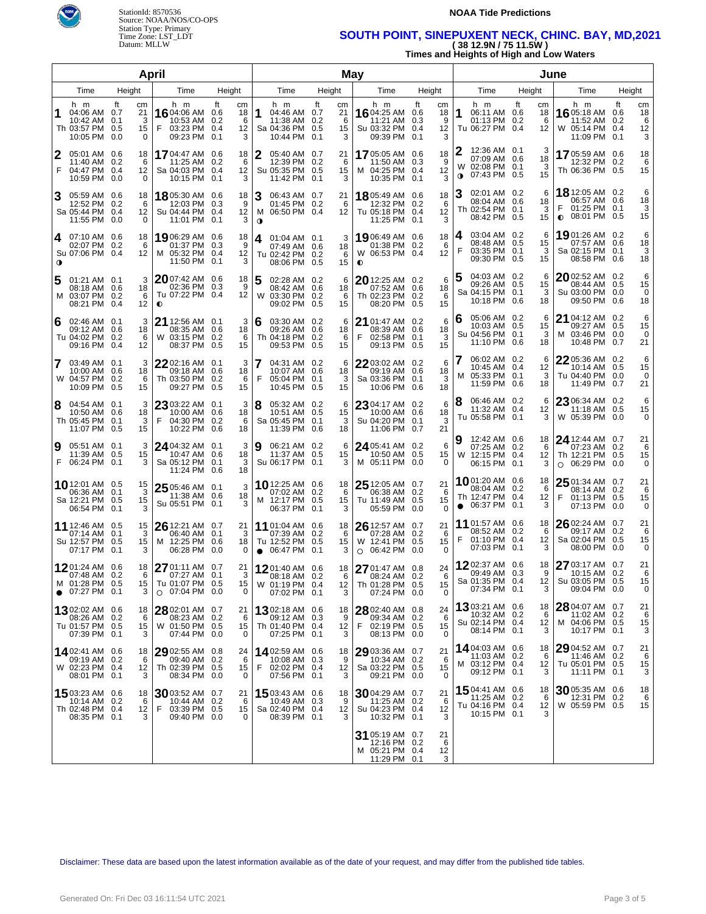

#### **NOAA Tide Predictions**

## Time Zone: LST\_LDT **SOUTH POINT, SINEPUXENT NECK, CHINC. BAY, MD,2021**  Datum: MLLW **( 38 12.9N / 75 11.5W )**

**Times and Heights of High and Low Waters** 

|                |                                                                        |                                  | April                                                                      |                                       |                                                                                     |                                | May                                                                  |                                                     | June                                                                                                 |                                                                                  |                                                       |
|----------------|------------------------------------------------------------------------|----------------------------------|----------------------------------------------------------------------------|---------------------------------------|-------------------------------------------------------------------------------------|--------------------------------|----------------------------------------------------------------------|-----------------------------------------------------|------------------------------------------------------------------------------------------------------|----------------------------------------------------------------------------------|-------------------------------------------------------|
| Time<br>Height |                                                                        |                                  | Time                                                                       | Height                                | Time                                                                                | Height                         | Time                                                                 | Height                                              | Time<br>Height                                                                                       | Time                                                                             | Height                                                |
| 1              | h m<br>04:06 AM 0.7<br>10:42 AM 0.1<br>Th 03:57 PM 0.5<br>10:05 PM 0.0 | ft<br>cm<br>21<br>3<br>15<br>0   | h m<br>16 04:06 AM 0.6<br>10:53 AM 0.2<br>F<br>03:23 PM 0.4<br>09:23 PM    | ft<br>сm<br>18<br>6<br>12<br>0.1<br>3 | h m<br>04:46 AM 0.7<br>1<br>11:38 AM 0.2<br>Sa 04:36 PM 0.5<br>10:44 PM 0.1         | ft<br>сm<br>21<br>6<br>15<br>3 | h m<br>16 04:25 AM 0.6<br>11:21 AM<br>Su 03:32 PM<br>09:39 PM        | ft<br>cm<br>18<br>9<br>0.3<br>0.4<br>12<br>0.1<br>3 | h m<br>ft<br>cm<br>1<br>06:11 AM 0.6<br>18<br>01:13 PM 0.2<br>6<br>Tu 06:27 PM 0.4<br>12             | h m<br><b>16</b> 05:18 AM<br>11:52 AM<br>W 05:14 PM 0.4<br>11:09 PM 0.1          | ft<br>cm<br>18<br>0.6<br>0.2<br>6<br>12<br>3          |
| 2<br>F         | 05:01 AM 0.6<br>11:40 AM 0.2<br>04:47 PM 0.4<br>10:59 PM 0.0           | 18<br>-6<br>12<br>0              | 1704:47 AM 0.6<br>11:25 AM<br>Sa 04:03 PM 0.4<br>10:15 PM 0.1              | 18<br>0.2<br>6<br>12<br>3             | 05:40 AM 0.7<br>12:39 PM 0.2<br>Su 05:35 PM 0.5<br>11:42 PM 0.1                     | 21<br>6<br>15<br>3             | <b>17</b> 05:05 AM<br>11:50 AM<br>M 04:25 PM 0.4<br>10:35 PM         | 0.6<br>18<br>-9<br>0.3<br>12<br>3<br>0.1            | 12:36 AM 0.1<br>07:09 AM 0.6<br>18<br>02:08 PM 0.1<br>W<br>3<br>15<br>07:43 PM 0.5<br>0              | 1705:59 AM 0.6<br>12:32 PM 0.2<br>Th 06:36 PM 0.5                                | 18<br>6<br>15                                         |
| 3              | 05:59 AM 0.6<br>12:52 PM 0.2<br>Sa 05:44 PM 0.4<br>11:55 PM 0.0        | 18<br>6<br>12<br>0               | <b>18</b> 05:30 AM 0.6<br>12:03 PM 0.3<br>Su 04:44 PM 0.4<br>11:01 PM 0.1  | 18<br>9<br>12<br>3                    | З<br>06:43 AM 0.7<br>01:45 PM 0.2<br>M 06:50 PM 0.4<br>$\bullet$                    | 21<br>6<br>12                  | 18 05:49 AM 0.6<br>12:32 PM<br>Tu 05:18 PM 0.4<br>11:25 PM 0.1       | 18<br>0.2<br>6<br>12<br>3                           | 02:01 AM 0.2<br>6<br>08:04 AM 0.6<br>18<br>Th 02:54 PM 0.1<br>3<br>08:42 PM 0.5<br>15                | <b>18</b> 12:05 AM 0.2<br>06:57 AM<br>01:25 PM 0.1<br>F<br>08:01 PM<br>$\bullet$ | 6<br>0.6<br>18<br>3<br>0.5<br>15                      |
| $\bullet$      | 4 07:10 AM 0.6<br>02:07 PM 0.2<br>Su 07:06 PM 0.4                      | 18<br>6<br>12                    | 19 06:29 AM 0.6<br>01:37 PM 0.3<br>M 05:32 PM 0.4<br>11:50 PM 0.1          | 18<br>9<br>12<br>3                    | 01:04 AM 0.1<br>4<br>07:49 AM 0.6<br>Tu 02:42 PM 0.2<br>08:06 PM 0.5                | 3<br>18<br>6<br>15             | 19 06:49 AM 0.6<br>01:38 PM<br>W 06:53 PM 0.4<br>$\bullet$           | 18<br>0.2<br>6<br>12                                | 03:04 AM 0.2<br>4<br>08:48 AM 0.5<br>15<br>F<br>03:35 PM 0.1<br>3<br>09:30 PM 0.5<br>15              | 19 01:26 AM 0.2<br>07:57 AM 0.6<br>Sa 02:15 PM 0.1<br>08:58 PM                   | 6<br>18<br>3<br>0.6<br>18                             |
| 5              | $01:21$ AM $0.1$<br>08:18 AM 0.6<br>M 03:07 PM 0.2<br>08:21 PM         | 3<br>18<br>6<br>0.4<br>12        | 2007:42 AM 0.6<br>02:36 PM 0.3<br>Tu 07:22 PM 0.4<br>$\bullet$             | 18<br>9<br>12                         | 5<br>02:28 AM 0.2<br>08:42 AM 0.6<br>W 03:30 PM 0.2<br>09:02 PM 0.5                 | 6<br>18<br>6<br>15             | 2012:25 AM 0.2<br>07:52 AM 0.6<br>Th 02:23 PM<br>08:20 PM            | 6<br>18<br>0.2<br>6<br>15<br>0.5                    | 04:03 AM 0.2<br>6<br>09:26 AM 0.5<br>15<br>Sa 04:15 PM 0.1<br>3<br>10:18 PM 0.6<br>18                | $20$ 02:52 AM<br>08:44 AM<br>Su 03:00 PM<br>09:50 PM                             | 0.2<br>6<br>0.5<br>15<br>0.0<br>$\Omega$<br>0.6<br>18 |
| 6              | 02:46 AM 0.1<br>09:12 AM 0.6<br>Tu 04:02 PM 0.2<br>09:16 PM            | 3<br>18<br>6<br>0.4<br>12        | 21 12:56 AM 0.1<br>08:35 AM 0.6<br>W 03:15 PM<br>08:37 PM 0.5              | 3<br>18<br>0.2<br>6<br>15             | 6<br>03:30 AM 0.2<br>09:26 AM 0.6<br>Th 04:18 PM 0.2<br>09:53 PM 0.5                | 6<br>18<br>6<br>15             | 21 01:47 AM 0.2<br>08:39 AM<br>F<br>02:58 PM<br>09:13 PM             | 6<br>0.6<br>18<br>3<br>0.1<br>15<br>0.5             | 05:06 AM 0.2<br>6<br>l 6<br>10:03 AM 0.5<br>15<br>Su 04:56 PM 0.1<br>3<br>11:10 PM 0.6<br>18         | 21 04:12 AM 0.2<br>09:27 AM 0.5<br>M 03:46 PM<br>10:48 PM                        | 6<br>15<br>0.0<br>$\Omega$<br>21<br>0.7               |
| 7              | 03:49 AM 0.1<br>10:00 AM 0.6<br>W 04:57 PM<br>10:09 PM                 | 3<br>18<br>0.2<br>6<br>0.5<br>15 | 22 02:16 AM 0.1<br>09:18 AM 0.6<br>Th 03:50 PM<br>09:27 PM                 | 3<br>18<br>0.2<br>6<br>15<br>0.5      | 7<br>04:31 AM 0.2<br>10:07 AM 0.6<br>F<br>05:04 PM 0.1<br>10:45 PM 0.5              | 6<br>18<br>3<br>15             | 22 03:02 AM 0.2<br>09:19 AM<br>Sa 03:36 PM<br>10:06 PM               | 6<br>0.6<br>18<br>3<br>0.1<br>0.6<br>18             | 06:02 AM 0.2<br>6<br>10:45 AM 0.4<br>12<br>M 05:33 PM 0.1<br>3<br>11:59 PM 0.6<br>18                 | 2205:36 AM<br>10:14 AM<br>Tu 04:40 PM<br>11:49 PM                                | 0.2<br>6<br>0.5<br>15<br>0.0<br>$\Omega$<br>21<br>0.7 |
| 8              | 04:54 AM 0.1<br>10:50 AM 0.6<br>Th 05:45 PM<br>11:07 PM                | 3<br>18<br>3<br>0.1<br>0.5<br>15 | 23 03:22 AM 0.1<br>10:00 AM 0.6<br>F<br>04:30 PM<br>10:22 PM 0.6           | 3<br>18<br>0.2<br>6<br>18             | 8<br>05:32 AM 0.2<br>10:51 AM 0.5<br>Sa 05:45 PM 0.1<br>11:39 PM 0.6                | 6<br>15<br>3<br>18             | 23 04:17 AM 0.2<br>10:00 AM<br>Su 04:20 PM<br>11:06 PM 0.7           | 6<br>0.6<br>18<br>3<br>0.1<br>21                    | 06:46 AM 0.2<br>6<br>18<br>11:32 AM 0.4<br>12<br>Tu 05:58 PM 0.1<br>3                                | 23 06:34 AM 0.2<br>11:18 AM<br>W 05:39 PM                                        | 6<br>0.5<br>15<br>0.0<br>0                            |
| 9              | 05:51 AM 0.1<br>11:39 AM 0.5<br>F 06:24 PM 0.1                         | 3<br>15<br>3                     | 24 04:32 AM 0.1<br>10:47 AM 0.6<br>Sa 05:12 PM<br>11:24 PM 0.6             | 3<br>18<br>3<br>0.1<br>18             | 9<br>06:21 AM 0.2<br>11:37 AM 0.5<br>Su 06:17 PM 0.1                                | 6<br>15<br>3                   | 24 05:41 AM 0.2<br>10:50 AM 0.5<br>M 05:11 PM 0.0                    | 6<br>15<br>0                                        | 12:42 AM 0.6<br>18<br>07:25 AM 0.2<br>6<br>W 12:15 PM 0.4<br>12<br>06:15 PM 0.1<br>3                 | 24 12:44 AM 0.7<br>07:23 AM<br>Th 12:21 PM 0.5<br>06:29 PM<br>$\Omega$           | 21<br>0.2<br>6<br>15<br>0.0<br>0                      |
|                | 10 12:01 AM 0.5<br>06:36 AM 0.1<br>Sa 12:21 PM 0.5<br>06:54 PM         | 15<br>3<br>15<br>0.1<br>3        | 25 05:46 AM 0.1<br>11:38 AM 0.6<br>Su 05:51 PM 0.1                         | 3<br>18<br>3                          | 10 12:25 AM 0.6<br>07:02 AM 0.2<br>M 12:17 PM 0.5<br>06:37 PM                       | 18<br>6<br>15<br>0.1<br>3      | 25 12:05 AM 0.7<br>06:38 AM 0.2<br>Tu 11:49 AM<br>05:59 PM           | 21<br>6<br>0.5<br>15<br>0.0<br>0                    | 1001:20 AM 0.6<br>18<br>08:04 AM 0.2<br>6<br>Th 12:47 PM 0.4<br>12<br>06:37 PM 0.1<br>3<br>$\bullet$ | 25 01:34 AM 0.7<br>08:14 AM 0.2<br>F<br>01:13 PM 0.5<br>07:13 PM                 | 21<br>6<br>15<br>0.0<br>0                             |
|                | 11 12:46 AM 0.5<br>07:14 AM 0.1<br>Su 12:57 PM 0.5<br>07:17 PM         | 15<br>3<br>15<br>0.1<br>3        | 26 12:21 AM 0.7<br>06:40 AM 0.1<br>12:25 PM<br>M<br>06:28 PM               | 21<br>3<br>0.6<br>18<br>0.0<br>0      | <b>11</b> 01:04 AM 0.6<br>07:39 AM 0.2<br>Tu 12:52 PM 0.5<br>$\bullet$ 06:47 PM 0.1 | 18<br>6<br>15<br>3             | 26 12:57 AM 0.7<br>07:28 AM<br>W 12:41 PM<br>$\circ$ 06:42 PM        | 21<br>0.2<br>6<br>0.5<br>15<br>0.0<br>$\Omega$      | 11 01:57 AM 0.6<br>18<br>08:52 AM 0.2<br>6<br>F<br>01:10 PM 0.4<br>12<br>07:03 PM 0.1<br>3           | $26$ 02:24 AM 0.7<br>09:17 AM<br>Sa 02:04 PM<br>08:00 PM                         | 21<br>0.2<br>6<br>0.5<br>15<br>0.0<br>0               |
|                | 1201:24 AM 0.6<br>07:48 AM<br>M 01:28 PM 0.5<br>$\bullet$ 07:27 PM 0.1 | 18<br>0.2<br>6<br>15<br>3        | 27 01:11 AM 0.7<br>07:27 AM 0.1<br>Tu 01:07 PM 0.5<br>$\circ$ 07:04 PM 0.0 | 21<br>3<br>15<br>0                    | 1201:40 AM 0.6<br>08:18 AM 0.2<br>W 01:19 PM 0.4<br>07:02 PM 0.1                    | 18<br>6<br>12<br>3             | 27 01:47 AM 0.8<br>08:24 AM 0.2<br>Th 01:28 PM 0.5<br>07:24 PM 0.0   | 24<br>6<br>15<br>0                                  | 1202:37 AM 0.6<br>18<br>09:49 AM 0.3<br>9<br>Sa 01:35 PM 0.4<br>12 <sub>1</sub><br>07:34 PM 0.1<br>3 | $2703:17$ AM 0.7<br>10:15 AM 0.2<br>Su 03:05 PM 0.5<br>09:04 PM 0.0              | 21<br>6<br>15<br>0                                    |
|                | 1302:02 AM 0.6<br>08:26 AM 0.2<br>Tu 01:57 PM 0.5<br>07:39 PM 0.1      | 18<br>6<br>15<br>3               | 28 02:01 AM 0.7<br>08:23 AM 0.2<br>W 01:50 PM 0.5<br>07:44 PM 0.0          | 21<br>6<br>15<br>0                    | 1302:18 AM 0.6<br>09:12 AM 0.3<br>Th 01:40 PM 0.4<br>07:25 PM 0.1                   | 18<br>9<br>12<br>3             | 28 02:40 AM 0.8<br>09:34 AM 0.2<br>F<br>02:19 PM 0.5<br>08:13 PM 0.0 | 24<br>6<br>15<br>0                                  | 13 03:21 AM 0.6<br>18<br>10:32 AM 0.2<br>6<br>Su 02:14 PM 0.4<br>12<br>08:14 PM 0.1<br>3             | 28 04:07 AM 0.7<br>11:02 AM 0.2<br>M 04:06 PM 0.5<br>10:17 PM 0.1                | 21<br>6<br>15<br>3                                    |
|                | 1402:41 AM 0.6<br>09:19 AM 0.2<br>W 02:23 PM 0.4<br>08:01 PM 0.1       | 18<br>6<br>12<br>3               | 29 02:55 AM 0.8<br>09:40 AM 0.2<br>Th 02:39 PM 0.5<br>08:34 PM 0.0         | 24<br>6<br>15<br>0                    | 1402:59 AM 0.6<br>10:08 AM 0.3<br>F<br>02:02 PM 0.4<br>07:56 PM 0.1                 | 18<br>9<br>12<br>3             | 29 03:36 AM 0.7<br>10:34 AM 0.2<br>Sa 03:22 PM 0.5<br>09:21 PM 0.0   | 21<br>6<br>15<br>0                                  | 14.04:03 AM 0.6<br>18<br>11:03 AM 0.2<br>6<br>M 03:12 PM 0.4<br>12<br>09:12 PM 0.1<br>3              | 29 04:52 AM 0.7<br>11:46 AM 0.2<br>Tu 05:01 PM 0.5<br>11:11 PM 0.1               | 21<br>6<br>15<br>3                                    |
|                | 15 03:23 AM 0.6<br>10:14 AM 0.2<br>Th 02:48 PM 0.4<br>08:35 PM 0.1     | 18<br>6<br>12<br>3               | 3003:52 AM 0.7<br>10:44 AM 0.2<br>F.<br>03:39 PM 0.5<br>09:40 PM 0.0       | 21<br>6<br>15<br>$\Omega$             | 1503:43 AM 0.6<br>10:49 AM 0.3<br>Sa 02:40 PM 0.4<br>08:39 PM 0.1                   | 18<br>9<br>12<br>3             | 3004:29 AM 0.7<br>11:25 AM 0.2<br>Su 04:23 PM 0.4<br>10:32 PM 0.1    | 21<br>6<br>12<br>3                                  | 1504:41 AM 0.6<br>18<br>11:25 AM 0.2<br>6<br>Tu 04:16 PM 0.4<br>12<br>10:15 PM 0.1<br>3              | 3005:35 AM 0.6<br>12:31 PM 0.2<br>W 05:59 PM 0.5                                 | 18<br>6<br>15                                         |
|                |                                                                        |                                  |                                                                            |                                       |                                                                                     |                                | 31 05:19 AM 0.7<br>12:16 PM 0.2<br>M 05:21 PM 0.4<br>11:29 PM 0.1    | 21<br>6<br>12<br>3                                  |                                                                                                      |                                                                                  |                                                       |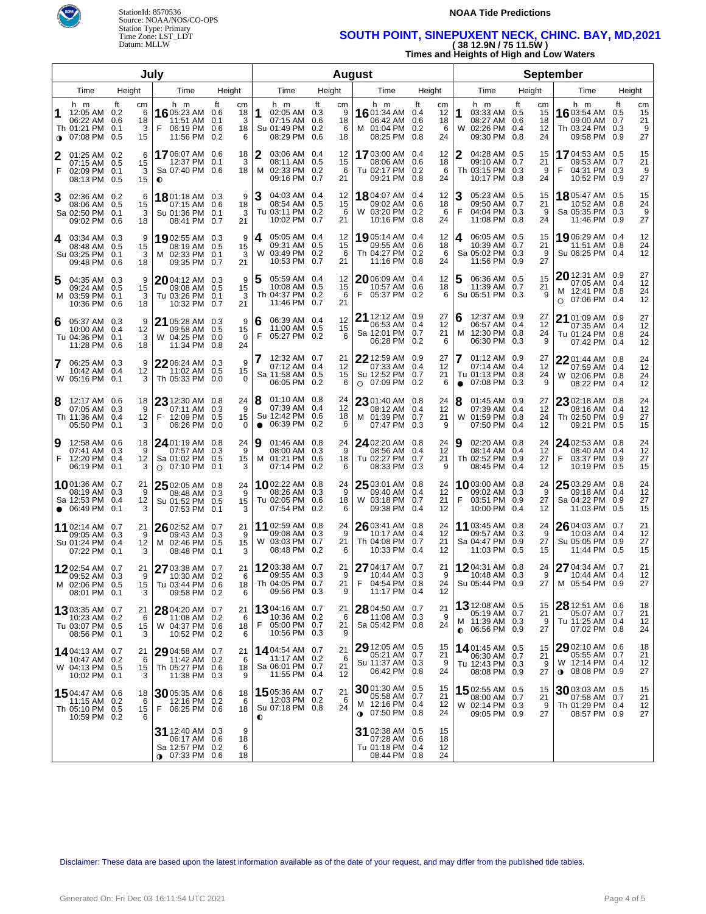

#### **NOAA Tide Predictions**

## Time Zone: LST\_LDT **SOUTH POINT, SINEPUXENT NECK, CHINC. BAY, MD,2021**  Datum: MLLW **( 38 12.9N / 75 11.5W )**

**Times and Heights of High and Low Waters** 

|         |                                                                             |                                       | July                                                                   |                                              |                |                                                                           |           |                          | <b>August</b>                                                             |                                                 |                                                                                    |                                  |                                                                               |                          |                           |
|---------|-----------------------------------------------------------------------------|---------------------------------------|------------------------------------------------------------------------|----------------------------------------------|----------------|---------------------------------------------------------------------------|-----------|--------------------------|---------------------------------------------------------------------------|-------------------------------------------------|------------------------------------------------------------------------------------|----------------------------------|-------------------------------------------------------------------------------|--------------------------|---------------------------|
|         | Time                                                                        | Height                                | Time                                                                   | Height                                       | Time           |                                                                           | Height    |                          | Time                                                                      | Height                                          | Time                                                                               | Height                           | Time                                                                          | Height                   |                           |
| 1       | h m<br>12:05 AM 0.2<br>06:22 AM 0.6<br>Th 01:21 PM 0.1<br><b>↑ 07:08 PM</b> | ft<br>cm<br>6<br>18<br>3<br>0.5<br>15 | h m<br>16 05:23 AM 0.6<br>11:51 AM<br>F<br>06:19 PM 0.6<br>11:56 PM    | ft<br>cm<br>18<br>0.1<br>3<br>18<br>0.2<br>6 | 1              | h m<br>02:05 AM 0.3<br>07:15 AM 0.6<br>Su 01:49 PM 0.2<br>08:29 PM        | ft<br>0.6 | cm<br>9<br>18<br>6<br>18 | h m<br><b>16</b> 01:34 AM 0.4<br>06:42 AM<br>M 01:04 PM 0.2<br>08:25 PM   | ft<br>cm<br>12<br>18<br>0.6<br>-6<br>0.8<br>24  | h m<br>1<br>03:33 AM 0.5<br>08:27 AM 0.6<br>02:26 PM 0.4<br>W<br>09:30 PM 0.8      | ft<br>cm<br>15<br>18<br>12<br>24 | h m<br>16 03:54 AM<br>09:00 AM<br>Th 03:24 PM 0.3<br>09:58 PM                 | ft<br>0.5<br>0.7<br>0.9  | cm<br>15<br>21<br>9<br>27 |
| 2<br>F  | $01:25$ AM $0.2$<br>07:15 AM 0.5<br>02:09 PM<br>08:13 PM                    | 6<br>15<br>3<br>0.1<br>0.5<br>15      | 1706:07 AM 0.6<br>12:37 PM 0.1<br>Sa 07:40 PM 0.6<br>$\bullet$         | 18<br>3<br>18                                | 2              | 03:06 AM 0.4<br>08:11 AM 0.5<br>M 02:33 PM 0.2<br>09:16 PM 0.7            |           | 12<br>15<br>6<br>21      | <b>17</b> 03:00 AM<br>08:06 AM<br>Tu 02:17 PM 0.2<br>09:21 PM             | 0.4<br>12<br>18<br>0.6<br>6<br>0.8<br>24        | 04:28 AM 0.5<br>09:10 AM 0.7<br>Th 03:15 PM 0.3<br>10:17 PM 0.8                    | 15<br>21<br>9<br>24              | 17 04:53 AM 0.5<br>09:53 AM<br>F<br>04:31 PM 0.3<br>10:52 PM                  | 0.7<br>0.9               | 15<br>21<br>9<br>27       |
| 3       | 02:36 AM 0.2<br>08:06 AM 0.5<br>Sa 02:50 PM 0.1<br>09:02 PM                 | 6<br>15<br>3<br>0.6<br>18             | <b>18</b> 01:18 AM 0.3<br>07:15 AM 0.6<br>Su 01:36 PM<br>08:41 PM 0.7  | 9<br>18<br>0.1<br>3<br>21                    | 3              | 04:03 AM 0.4<br>08:54 AM 0.5<br>Tu 03:11 PM 0.2<br>10:02 PM 0.7           |           | 12<br>15<br>6<br>21      | <b>18</b> 04:07 AM 0.4<br>09:02 AM<br>W 03:20 PM 0.2<br>10:16 PM          | 12<br>18<br>0.6<br>6<br>0.8<br>24               | З<br>05:23 AM 0.5<br>09:50 AM 0.7<br>F<br>04:04 PM 0.3<br>11:08 PM 0.8             | 15<br>21<br>9<br>24              | 18 05:47 AM 0.5<br>10:52 AM<br>Sa 05:35 PM 0.3<br>11:46 PM                    | 0.8<br>0.9               | 15<br>24<br>9<br>27       |
| 4       | 03:34 AM 0.3<br>08:48 AM 0.5<br>Su 03:25 PM 0.1<br>09:48 PM                 | 9<br>15<br>3<br>0.6<br>18             | 1902:55 AM 0.3<br>08:19 AM 0.5<br>M 02:33 PM<br>09:35 PM 0.7           | 9<br>15<br>3<br>0.1<br>21                    | 4              | 05:05 AM 0.4<br>09:31 AM 0.5<br>W 03:49 PM 0.2<br>10:53 PM 0.7            |           | 12<br>15<br>6<br>21      | <b>19</b> 05:14 AM 0.4<br>09:55 AM<br>Th 04:27 PM 0.2<br>11:16 PM         | 12<br>0.6<br>18<br>6<br>0.8<br>24               | 06:05 AM 0.5<br>4<br>10:39 AM 0.7<br>Sa 05:02 PM 0.3<br>11:56 PM 0.9               | 15<br>21<br>9<br>27              | 19 06:29 AM 0.4<br>11:51 AM 0.8<br>Su 06:25 PM 0.4                            |                          | 12<br>24<br>12            |
| 5       | 04:35 AM 0.3<br>09:24 AM 0.5<br>M 03:59 PM 0.1<br>10:36 PM                  | 9<br>15<br>3<br>0.6<br>18             | $2004:12AM$ 0.3<br>09:08 AM 0.5<br>Tu 03:26 PM<br>10:32 PM 0.7         | 9<br>15<br>3<br>0.1<br>21                    | 5              | 05:59 AM 0.4<br>10:08 AM 0.5<br>Th 04:37 PM 0.2<br>11:46 PM 0.7           |           | 12<br>15<br>6<br>21      | $2006:09$ AM 0.4<br>10:57 AM<br>05:37 PM 0.2<br>F.                        | 12<br>0.6<br>18<br>6                            | 5<br>06:36 AM 0.5<br>11:39 AM 0.7<br>Su 05:51 PM 0.3                               | 15<br>21<br>9                    | 20 12:31 AM 0.9<br>07:05 AM<br>M 12:41 PM 0.8<br>07:06 PM<br>O                | 0.4<br>0.4               | 27<br>12<br>24<br>12      |
| 6       | 05:37 AM 0.3<br>10:00 AM 0.4<br>Tu 04:36 PM 0.1<br>11:28 PM                 | 9<br>12<br>3<br>0.6<br>18             | 21 05:28 AM 0.3<br>09:58 AM 0.5<br>W 04:25 PM<br>11:34 PM 0.8          | 9<br>15<br>0.0<br>$\Omega$<br>24             | 6<br>F         | 06:39 AM 0.4<br>11:00 AM 0.5<br>05:27 PM 0.2                              |           | 12<br>15<br>6            | <b>21</b> 12:12 AM 0.9<br>06:53 AM<br>Sa 12:01 PM 0.7<br>06:28 PM         | 27<br>12<br>0.4<br>21<br>0.2<br>6               | 6<br>12:37 AM 0.9<br>06:57 AM 0.4<br>М<br>12:30 PM 0.8<br>06:30 PM                 | 27<br>12<br>24<br>0.3<br>9       | 21<br>01:09 AM<br>07:35 AM<br>Tu 01:24 PM<br>07:42 PM                         | 0.9<br>0.4<br>0.8<br>0.4 | 27<br>12<br>24<br>12      |
| 7       | 06:25 AM 0.3<br>10:42 AM 0.4<br>W 05:16 PM 0.1                              | 9<br>12<br>3                          | 2206:24 AM 0.3<br>11:02 AM 0.5<br>Th 05:33 PM 0.0                      | 9<br>15<br>0                                 | 7              | 12:32 AM 0.7<br>07:12 AM 0.4<br>Sa 11:58 AM 0.5<br>06:05 PM               | 0.2       | 21<br>12<br>15<br>6      | $22$ 12:59 AM<br>07:33 AM<br>Su 12:52 PM<br>$O$ 07:09 PM                  | 0.9<br>27<br>12<br>0.4<br>0.7<br>21<br>0.2<br>6 | 01:12 AM 0.9<br>07:14 AM 0.4<br>Tu 01:13 PM 0.8<br>07:08 PM<br>$\bullet$           | 27<br>12<br>24<br>0.3<br>9       | $22$ 01:44 AM<br>07:59 AM<br>W 02:06 PM<br>08:22 PM                           | 0.8<br>0.4<br>0.8<br>0.4 | 24<br>12<br>24<br>12      |
| 8       | 12:17 AM 0.6<br>07:05 AM 0.3<br>Th 11:36 AM 0.4<br>05:50 PM                 | 18<br>9<br>12<br>0.1<br>3             | 23 12:30 AM 0.8<br>07:11 AM 0.3<br>F<br>12:09 PM<br>06:26 PM           | 24<br>9<br>15<br>0.5<br>0.0<br>0             | 8<br>$\bullet$ | 01:10 AM 0.8<br>07:39 AM 0.4<br>Su 12:42 PM 0.6<br>06:39 PM               | 0.2       | 24<br>12<br>18<br>6      | 23 01:40 AM 0.8<br>08:12 AM<br>M 01:39 PM<br>07:47 PM                     | 24<br>0.4<br>12<br>0.7<br>21<br>0.3<br>9        | 8<br>01:45 AM 0.9<br>07:39 AM 0.4<br>01:59 PM 0.8<br>W<br>07:50 PM                 | 27<br>12<br>24<br>12<br>0.4      | 23 02:18 AM 0.8<br>08:16 AM<br>Th 02:50 PM<br>09:21 PM                        | 0.4<br>0.9<br>0.5        | 24<br>12<br>27<br>15      |
| 19<br>F | 12:58 AM 0.6<br>07:41 AM 0.3<br>12:20 PM 0.4<br>06:19 PM                    | 18<br>9<br>12<br>0.1<br>3             | 2401:19 AM 0.8<br>07:57 AM 0.3<br>Sa 01:02 PM<br>07:10 PM<br>$\circ$   | 24<br>9<br>0.5<br>15<br>0.1<br>3             | 9              | $01:46$ AM $0.8$<br>08:00 AM 0.3<br>M 01:21 PM 0.6<br>07:14 PM            | 0.2       | 24<br>9<br>18<br>6       | 24 02:20 AM 0.8<br>08:56 AM<br>Tu 02:27 PM<br>08:33 PM                    | 24<br>12<br>0.4<br>0.7<br>21<br>0.3<br>9        | 9<br>02:20 AM 0.8<br>08:14 AM 0.4<br>Th 02:52 PM 0.9<br>08:45 PM                   | 24<br>12<br>27<br>0.4<br>12      | $24$ 02:53 AM 0.8<br>08:40 AM<br>03:37 PM<br>F<br>10:19 PM                    | 0.4<br>0.9<br>0.5        | 24<br>12<br>27<br>15      |
|         | 1001:36 AM 0.7<br>08:19 AM 0.3<br>Sa 12:53 PM<br>$\bullet$ 06:49 PM         | 21<br>9<br>0.4<br>12<br>3<br>0.1      | 25 02:05 AM 0.8<br>08:48 AM 0.3<br>Su 01:52 PM 0.5<br>07:53 PM 0.1     | 24<br>9<br>15<br>3                           |                | 1002:22 AM 0.8<br>08:26 AM 0.3<br>Tu 02:05 PM 0.6<br>07:54 PM             | 0.2       | 24<br>9<br>18<br>6       | 25 03:01 AM 0.8<br>09:40 AM<br>W 03:18 PM<br>09:38 PM                     | 24<br>12<br>0.4<br>0.7<br>21<br>0.4<br>12       | 1003:00 AM 0.8<br>09:02 AM 0.3<br>03:51 PM 0.9<br>F<br>10:00 PM                    | 24<br>9<br>27<br>0.4<br>12       | 25 03:29 AM 0.8<br>09:18 AM<br>Sa 04:22 PM<br>11:03 PM                        | 0.4<br>0.9<br>0.5        | 24<br>12<br>27<br>15      |
|         | 11 02:14 AM 0.7<br>09:05 AM 0.3<br>Su 01:24 PM<br>07:22 PM 0.1              | 21<br>9<br>0.4<br>12<br>3             | 26 02:52 AM 0.7<br>09:43 AM<br>M 02:46 PM<br>08:48 PM 0.1              | 21<br>0.3<br>9<br>0.5<br>15<br>3             |                | 11 02:59 AM 0.8<br>09:08 AM 0.3<br>W 03:03 PM 0.7<br>08:48 PM             | 0.2       | 24<br>9<br>21<br>6       | 26 03:41 AM 0.8<br>10:17 AM<br>Th 04:08 PM<br>10:33 PM                    | 24<br>0.4<br>12<br>21<br>0.7<br>0.4<br>12       | 11 03:45 AM 0.8<br>09:57 AM 0.3<br>Sa 04:47 PM 0.9<br>11:03 PM                     | 24<br>9<br>27<br>0.5<br>15       | $26$ 04:03 AM 0.7<br>10:03 AM<br>Su 05:05 PM<br>11:44 PM                      | 0.4<br>0.9<br>0.5        | 21<br>12<br>27<br>15      |
|         | 1202:54 AM 0.7<br>09:52 AM<br>M 02:06 PM 0.5<br>08:01 PM 0.1                | 21<br>0.3<br>9<br>15<br>3             | 27 03:38 AM 0.7<br>10:30 AM 0.2<br>Tu 03:44 PM 0.6<br>09:58 PM 0.2     | 21<br>6<br>18<br>6                           |                | 1203:38 AM 0.7<br>09:55 AM 0.3<br>Th 04:05 PM 0.7<br>09:56 PM 0.3         |           | 21<br>9<br>21<br>9       | 27 04:17 AM 0.7<br>10:44 AM 0.3<br>04:54 PM 0.8<br>11:17 PM 0.4           | 21<br>9<br>24<br>12                             | 1204:31 AM 0.8<br>10:48 AM 0.3<br>Su 05:44 PM 0.9                                  | 24<br>9<br>27                    | 27 04:34 AM 0.7<br>10:44 AM<br>M 05:54 PM 0.9                                 | 0.4                      | 21<br>12<br>27            |
|         | 1303:35 AM 0.7<br>10:23 AM 0.2<br>Tu 03:07 PM 0.5<br>08:56 PM 0.1           | 21<br>6<br>15<br>3                    | 28 04:20 AM 0.7<br>11:08 AM 0.2<br>W 04:37 PM 0.6<br>10:52 PM 0.2      | 21<br>6<br>18<br>6                           | F              | <b>13</b> 04:16 AM 0.7<br>10:36 AM 0.2<br>05:00 PM 0.7<br>10:56 PM 0.3    |           | 21<br>6<br>21<br>9       | 28 04:50 AM 0.7<br>11:08 AM 0.3<br>Sa 05:42 PM 0.8                        | 21<br>-9<br>24                                  | <b>13</b> 12:08 AM 0.5<br>05:19 AM 0.7<br>M 11:39 AM 0.3<br>$\bullet$ 06:56 PM 0.9 | 15<br>21<br>9<br>27              | 28 12:51 AM 0.6<br>05:07 AM 0.7<br>Tu 11:25 AM 0.4<br>07:02 PM 0.8            |                          | 18<br>21<br>12<br>24      |
|         | 14 04:13 AM 0.7<br>10:47 AM 0.2<br>W 04:13 PM 0.5<br>10:02 PM 0.1           | 21<br>6<br>15<br>3                    | 29 04:58 AM 0.7<br>11:42 AM 0.2<br>Th 05:27 PM 0.6<br>11:38 PM 0.3     | 21<br>6<br>18<br>9                           |                | <b>14</b> 04:54 AM 0.7<br>11:17 AM 0.2<br>Sa 06:01 PM 0.7<br>11:55 PM 0.4 |           | 21<br>6<br>21<br>12      | $29$ 12:05 AM $\,$ 0.5<br>05:21 AM 0.7<br>Su 11:37 AM 0.3<br>06:42 PM 0.8 | 15<br>21<br>-9<br>24                            | 1401:45 AM 0.5<br>06:30 AM 0.7<br>Tu 12:43 PM 0.3<br>08:08 PM 0.9                  | 15<br>21<br>9<br>27              | 29 02:10 AM 0.6<br>05:55 AM 0.7<br>W 12:14 PM 0.4<br>$0.08:08 \text{ PM}$ 0.9 |                          | 18<br>21<br>12<br>27      |
|         | 1504:47 AM 0.6<br>11:15 AM 0.2<br>Th 05:10 PM 0.5<br>10:59 PM 0.2           | 18<br>6<br>15                         | 30 05:35 AM 0.6<br>12:16 PM 0.2<br>F 06:25 PM 0.6                      | 18<br>6<br>18                                | 0              | 15 05:36 AM 0.7<br>12:03 PM 0.2<br>Su 07:18 PM 0.8                        |           | 21<br>6<br>24            | 3001:30 AM 0.5<br>05:58 AM 0.7<br>M 12:16 PM 0.4<br><b>0</b> 07:50 PM 0.8 | 15<br>21<br>12<br>24                            | 1502:55 AM 0.5<br>08:00 AM 0.7<br>W 02:14 PM 0.3<br>09:05 PM 0.9                   | 15<br>21<br>9<br>27              | $30$ 03:03 AM 0.5<br>07:58 AM 0.7<br>Th 01:29 PM 0.4<br>08:57 PM 0.9          |                          | 15<br>21<br>12<br>27      |
|         |                                                                             |                                       | 31 12:40 AM 0.3<br>06:17 AM 0.6<br>Sa 12:57 PM 0.2<br>$0.07:33$ PM 0.6 | 9<br>18<br>6<br>18                           |                |                                                                           |           |                          | $31$ 02:38 AM 0.5<br>07:28 AM 0.6<br>Tu 01:18 PM 0.4<br>08:44 PM 0.8      | 15<br>18<br>12<br>24                            |                                                                                    |                                  |                                                                               |                          |                           |